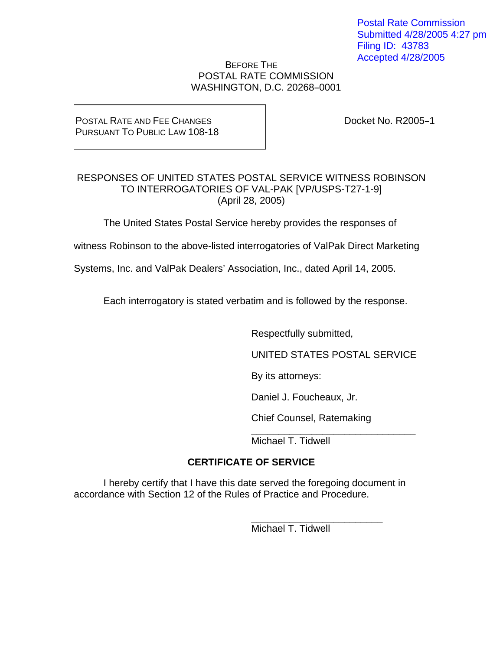Postal Rate Commission Submitted 4/28/2005 4:27 pm Filing ID: 43783 Accepted 4/28/2005

### BEFORE THE POSTAL RATE COMMISSION WASHINGTON, D.C. 20268-0001

#### POSTAL RATE AND FEE CHANGES PURSUANT TO PUBLIC LAW 108-18

Docket No. R2005-1

### RESPONSES OF UNITED STATES POSTAL SERVICE WITNESS ROBINSON TO INTERROGATORIES OF VAL-PAK [VP/USPS-T27-1-9] (April 28, 2005)

The United States Postal Service hereby provides the responses of

witness Robinson to the above-listed interrogatories of ValPak Direct Marketing

Systems, Inc. and ValPak Dealers' Association, Inc., dated April 14, 2005.

Each interrogatory is stated verbatim and is followed by the response.

Respectfully submitted,

UNITED STATES POSTAL SERVICE

By its attorneys:

Daniel J. Foucheaux, Jr.

Chief Counsel, Ratemaking

\_\_\_\_\_\_\_\_\_\_\_\_\_\_\_\_\_\_\_\_\_\_\_\_

 $\overline{\phantom{a}}$  , and the contract of the contract of the contract of the contract of the contract of the contract of the contract of the contract of the contract of the contract of the contract of the contract of the contrac Michael T. Tidwell

# **CERTIFICATE OF SERVICE**

I hereby certify that I have this date served the foregoing document in accordance with Section 12 of the Rules of Practice and Procedure.

Michael T. Tidwell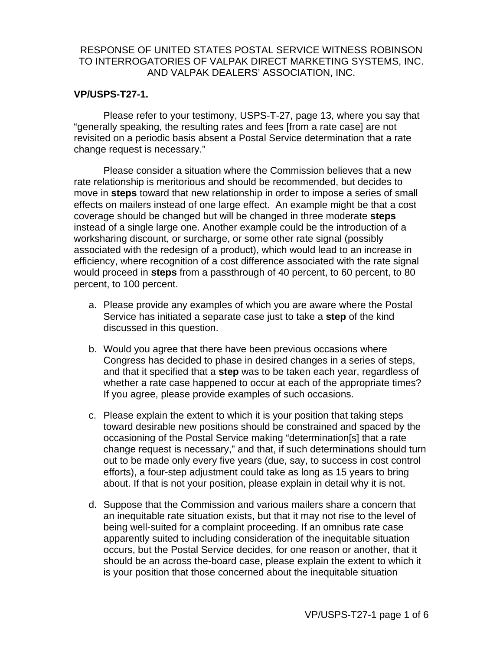#### **VP/USPS-T27-1.**

Please refer to your testimony, USPS-T-27, page 13, where you say that "generally speaking, the resulting rates and fees [from a rate case] are not revisited on a periodic basis absent a Postal Service determination that a rate change request is necessary."

Please consider a situation where the Commission believes that a new rate relationship is meritorious and should be recommended, but decides to move in **steps** toward that new relationship in order to impose a series of small effects on mailers instead of one large effect. An example might be that a cost coverage should be changed but will be changed in three moderate **steps** instead of a single large one. Another example could be the introduction of a worksharing discount, or surcharge, or some other rate signal (possibly associated with the redesign of a product), which would lead to an increase in efficiency, where recognition of a cost difference associated with the rate signal would proceed in **steps** from a passthrough of 40 percent, to 60 percent, to 80 percent, to 100 percent.

- a. Please provide any examples of which you are aware where the Postal Service has initiated a separate case just to take a **step** of the kind discussed in this question.
- b. Would you agree that there have been previous occasions where Congress has decided to phase in desired changes in a series of steps, and that it specified that a **step** was to be taken each year, regardless of whether a rate case happened to occur at each of the appropriate times? If you agree, please provide examples of such occasions.
- c. Please explain the extent to which it is your position that taking steps toward desirable new positions should be constrained and spaced by the occasioning of the Postal Service making "determination[s] that a rate change request is necessary," and that, if such determinations should turn out to be made only every five years (due, say, to success in cost control efforts), a four-step adjustment could take as long as 15 years to bring about. If that is not your position, please explain in detail why it is not.
- d. Suppose that the Commission and various mailers share a concern that an inequitable rate situation exists, but that it may not rise to the level of being well-suited for a complaint proceeding. If an omnibus rate case apparently suited to including consideration of the inequitable situation occurs, but the Postal Service decides, for one reason or another, that it should be an across the-board case, please explain the extent to which it is your position that those concerned about the inequitable situation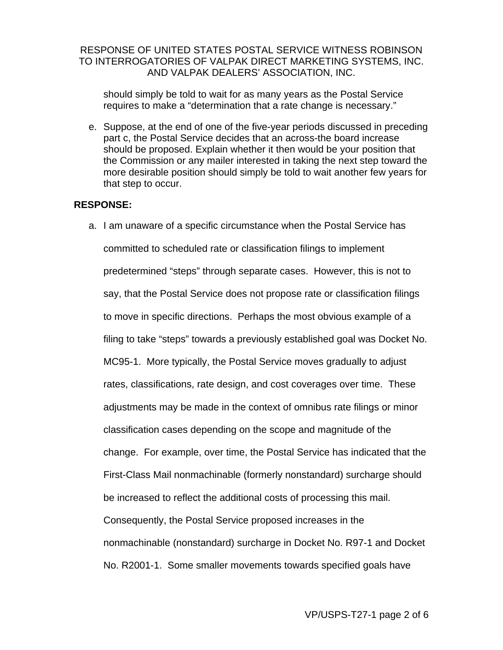should simply be told to wait for as many years as the Postal Service requires to make a "determination that a rate change is necessary."

e. Suppose, at the end of one of the five-year periods discussed in preceding part c, the Postal Service decides that an across-the board increase should be proposed. Explain whether it then would be your position that the Commission or any mailer interested in taking the next step toward the more desirable position should simply be told to wait another few years for that step to occur.

#### **RESPONSE:**

a. I am unaware of a specific circumstance when the Postal Service has committed to scheduled rate or classification filings to implement predetermined "steps" through separate cases. However, this is not to say, that the Postal Service does not propose rate or classification filings to move in specific directions. Perhaps the most obvious example of a filing to take "steps" towards a previously established goal was Docket No. MC95-1. More typically, the Postal Service moves gradually to adjust rates, classifications, rate design, and cost coverages over time. These adjustments may be made in the context of omnibus rate filings or minor classification cases depending on the scope and magnitude of the change. For example, over time, the Postal Service has indicated that the First-Class Mail nonmachinable (formerly nonstandard) surcharge should be increased to reflect the additional costs of processing this mail. Consequently, the Postal Service proposed increases in the nonmachinable (nonstandard) surcharge in Docket No. R97-1 and Docket No. R2001-1. Some smaller movements towards specified goals have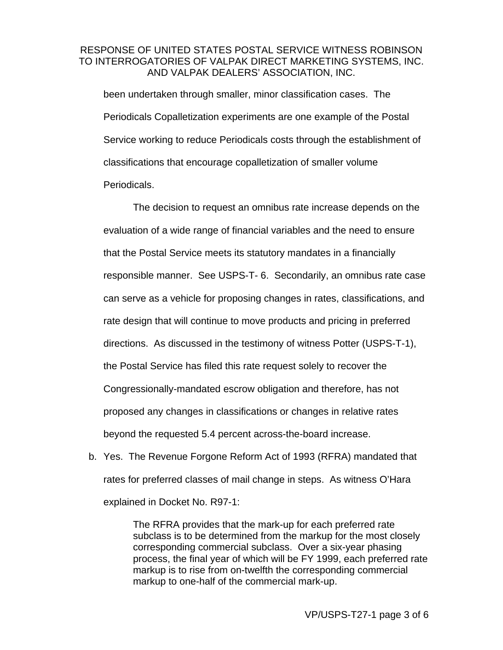been undertaken through smaller, minor classification cases. The Periodicals Copalletization experiments are one example of the Postal Service working to reduce Periodicals costs through the establishment of classifications that encourage copalletization of smaller volume Periodicals.

The decision to request an omnibus rate increase depends on the evaluation of a wide range of financial variables and the need to ensure that the Postal Service meets its statutory mandates in a financially responsible manner. See USPS-T- 6. Secondarily, an omnibus rate case can serve as a vehicle for proposing changes in rates, classifications, and rate design that will continue to move products and pricing in preferred directions. As discussed in the testimony of witness Potter (USPS-T-1), the Postal Service has filed this rate request solely to recover the Congressionally-mandated escrow obligation and therefore, has not proposed any changes in classifications or changes in relative rates beyond the requested 5.4 percent across-the-board increase.

b. Yes. The Revenue Forgone Reform Act of 1993 (RFRA) mandated that rates for preferred classes of mail change in steps. As witness O'Hara explained in Docket No. R97-1:

> The RFRA provides that the mark-up for each preferred rate subclass is to be determined from the markup for the most closely corresponding commercial subclass. Over a six-year phasing process, the final year of which will be FY 1999, each preferred rate markup is to rise from on-twelfth the corresponding commercial markup to one-half of the commercial mark-up.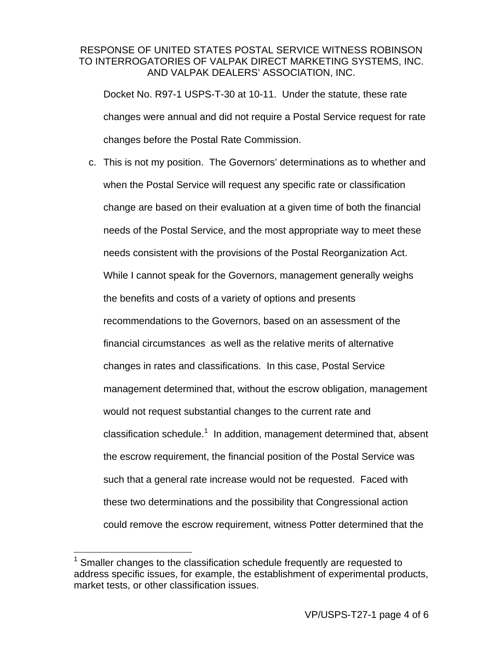Docket No. R97-1 USPS-T-30 at 10-11. Under the statute, these rate changes were annual and did not require a Postal Service request for rate changes before the Postal Rate Commission.

c. This is not my position. The Governors' determinations as to whether and when the Postal Service will request any specific rate or classification change are based on their evaluation at a given time of both the financial needs of the Postal Service, and the most appropriate way to meet these needs consistent with the provisions of the Postal Reorganization Act. While I cannot speak for the Governors, management generally weighs the benefits and costs of a variety of options and presents recommendations to the Governors, based on an assessment of the financial circumstances as well as the relative merits of alternative changes in rates and classifications. In this case, Postal Service management determined that, without the escrow obligation, management would not request substantial changes to the current rate and classification schedule.<sup>1</sup> In addition, management determined that, absent the escrow requirement, the financial position of the Postal Service was such that a general rate increase would not be requested. Faced with these two determinations and the possibility that Congressional action could remove the escrow requirement, witness Potter determined that the

1

<sup>1</sup> Smaller changes to the classification schedule frequently are requested to address specific issues, for example, the establishment of experimental products, market tests, or other classification issues.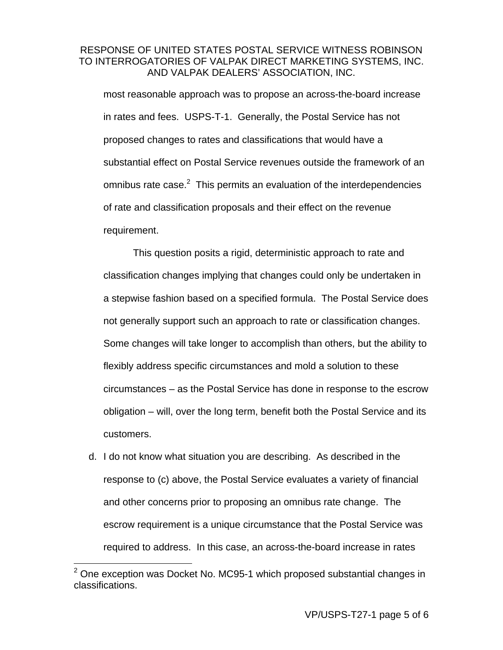most reasonable approach was to propose an across-the-board increase in rates and fees. USPS-T-1. Generally, the Postal Service has not proposed changes to rates and classifications that would have a substantial effect on Postal Service revenues outside the framework of an omnibus rate case. $2$  This permits an evaluation of the interdependencies of rate and classification proposals and their effect on the revenue requirement.

This question posits a rigid, deterministic approach to rate and classification changes implying that changes could only be undertaken in a stepwise fashion based on a specified formula. The Postal Service does not generally support such an approach to rate or classification changes. Some changes will take longer to accomplish than others, but the ability to flexibly address specific circumstances and mold a solution to these circumstances – as the Postal Service has done in response to the escrow obligation – will, over the long term, benefit both the Postal Service and its customers.

d. I do not know what situation you are describing. As described in the response to (c) above, the Postal Service evaluates a variety of financial and other concerns prior to proposing an omnibus rate change. The escrow requirement is a unique circumstance that the Postal Service was required to address. In this case, an across-the-board increase in rates

\_\_\_\_\_\_\_\_\_\_\_\_\_\_\_\_\_\_\_\_\_\_\_\_\_\_\_\_\_\_\_\_\_<br><sup>2</sup> One exception was Docket No. MC95-1 which proposed substantial changes in \_ classifications.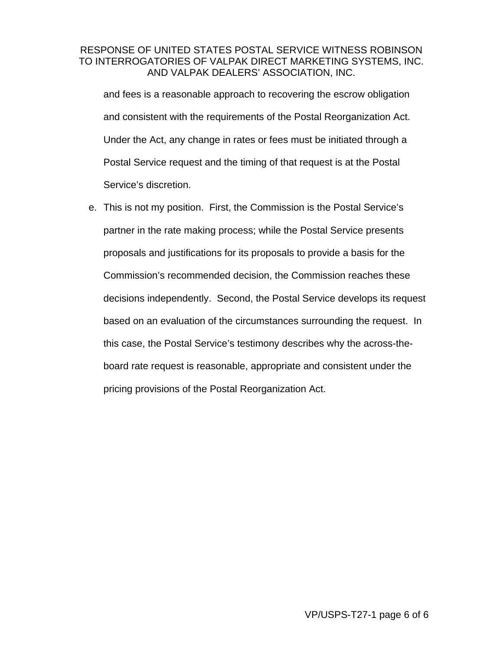and fees is a reasonable approach to recovering the escrow obligation and consistent with the requirements of the Postal Reorganization Act. Under the Act, any change in rates or fees must be initiated through a Postal Service request and the timing of that request is at the Postal Service's discretion.

e. This is not my position. First, the Commission is the Postal Service's partner in the rate making process; while the Postal Service presents proposals and justifications for its proposals to provide a basis for the Commission's recommended decision, the Commission reaches these decisions independently. Second, the Postal Service develops its request based on an evaluation of the circumstances surrounding the request. In this case, the Postal Service's testimony describes why the across-theboard rate request is reasonable, appropriate and consistent under the pricing provisions of the Postal Reorganization Act.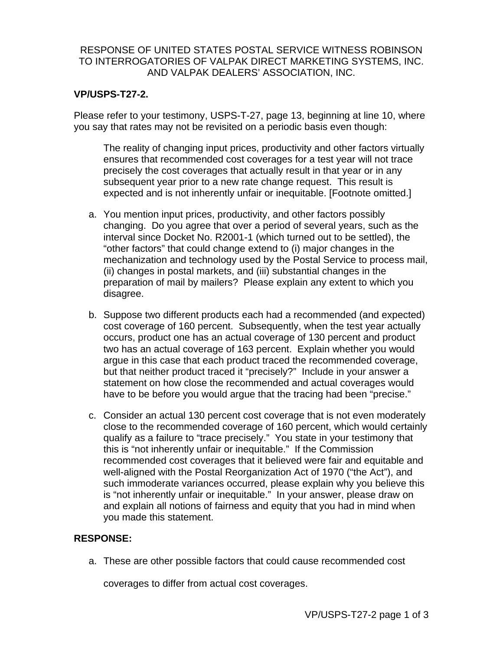### **VP/USPS-T27-2.**

Please refer to your testimony, USPS-T-27, page 13, beginning at line 10, where you say that rates may not be revisited on a periodic basis even though:

The reality of changing input prices, productivity and other factors virtually ensures that recommended cost coverages for a test year will not trace precisely the cost coverages that actually result in that year or in any subsequent year prior to a new rate change request. This result is expected and is not inherently unfair or inequitable. [Footnote omitted.]

- a. You mention input prices, productivity, and other factors possibly changing. Do you agree that over a period of several years, such as the interval since Docket No. R2001-1 (which turned out to be settled), the "other factors" that could change extend to (i) major changes in the mechanization and technology used by the Postal Service to process mail, (ii) changes in postal markets, and (iii) substantial changes in the preparation of mail by mailers? Please explain any extent to which you disagree.
- b. Suppose two different products each had a recommended (and expected) cost coverage of 160 percent. Subsequently, when the test year actually occurs, product one has an actual coverage of 130 percent and product two has an actual coverage of 163 percent. Explain whether you would argue in this case that each product traced the recommended coverage, but that neither product traced it "precisely?" Include in your answer a statement on how close the recommended and actual coverages would have to be before you would argue that the tracing had been "precise."
- c. Consider an actual 130 percent cost coverage that is not even moderately close to the recommended coverage of 160 percent, which would certainly qualify as a failure to "trace precisely." You state in your testimony that this is "not inherently unfair or inequitable." If the Commission recommended cost coverages that it believed were fair and equitable and well-aligned with the Postal Reorganization Act of 1970 ("the Act"), and such immoderate variances occurred, please explain why you believe this is "not inherently unfair or inequitable." In your answer, please draw on and explain all notions of fairness and equity that you had in mind when you made this statement.

## **RESPONSE:**

a. These are other possible factors that could cause recommended cost

coverages to differ from actual cost coverages.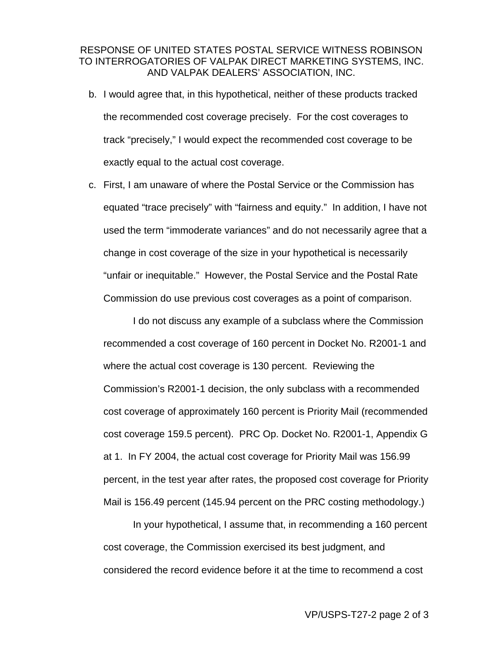- b. I would agree that, in this hypothetical, neither of these products tracked the recommended cost coverage precisely. For the cost coverages to track "precisely," I would expect the recommended cost coverage to be exactly equal to the actual cost coverage.
- c. First, I am unaware of where the Postal Service or the Commission has equated "trace precisely" with "fairness and equity." In addition, I have not used the term "immoderate variances" and do not necessarily agree that a change in cost coverage of the size in your hypothetical is necessarily "unfair or inequitable." However, the Postal Service and the Postal Rate Commission do use previous cost coverages as a point of comparison.

I do not discuss any example of a subclass where the Commission recommended a cost coverage of 160 percent in Docket No. R2001-1 and where the actual cost coverage is 130 percent. Reviewing the Commission's R2001-1 decision, the only subclass with a recommended cost coverage of approximately 160 percent is Priority Mail (recommended cost coverage 159.5 percent). PRC Op. Docket No. R2001-1, Appendix G at 1. In FY 2004, the actual cost coverage for Priority Mail was 156.99 percent, in the test year after rates, the proposed cost coverage for Priority Mail is 156.49 percent (145.94 percent on the PRC costing methodology.)

In your hypothetical, I assume that, in recommending a 160 percent cost coverage, the Commission exercised its best judgment, and considered the record evidence before it at the time to recommend a cost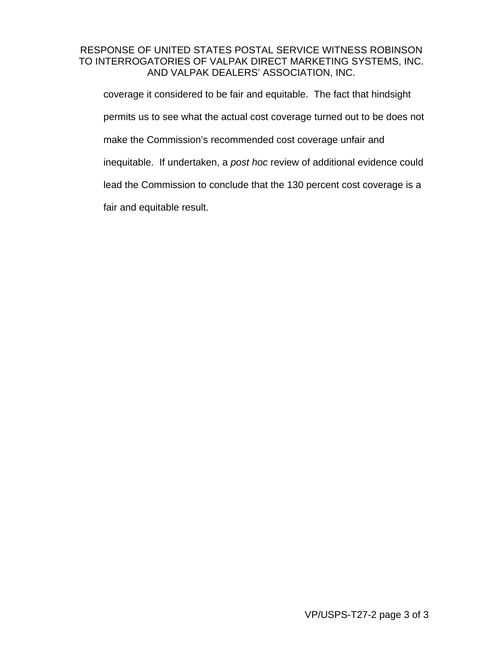coverage it considered to be fair and equitable. The fact that hindsight permits us to see what the actual cost coverage turned out to be does not make the Commission's recommended cost coverage unfair and inequitable. If undertaken, a *post hoc* review of additional evidence could lead the Commission to conclude that the 130 percent cost coverage is a fair and equitable result.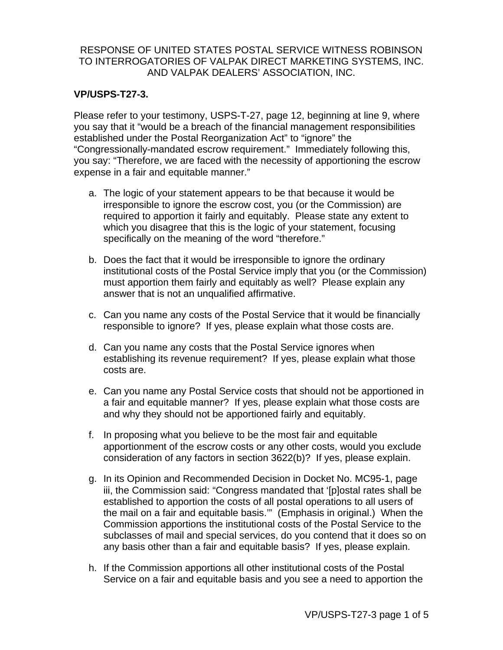### **VP/USPS-T27-3.**

Please refer to your testimony, USPS-T-27, page 12, beginning at line 9, where you say that it "would be a breach of the financial management responsibilities established under the Postal Reorganization Act" to "ignore" the "Congressionally-mandated escrow requirement." Immediately following this, you say: "Therefore, we are faced with the necessity of apportioning the escrow expense in a fair and equitable manner."

- a. The logic of your statement appears to be that because it would be irresponsible to ignore the escrow cost, you (or the Commission) are required to apportion it fairly and equitably. Please state any extent to which you disagree that this is the logic of your statement, focusing specifically on the meaning of the word "therefore."
- b. Does the fact that it would be irresponsible to ignore the ordinary institutional costs of the Postal Service imply that you (or the Commission) must apportion them fairly and equitably as well? Please explain any answer that is not an unqualified affirmative.
- c. Can you name any costs of the Postal Service that it would be financially responsible to ignore? If yes, please explain what those costs are.
- d. Can you name any costs that the Postal Service ignores when establishing its revenue requirement? If yes, please explain what those costs are.
- e. Can you name any Postal Service costs that should not be apportioned in a fair and equitable manner? If yes, please explain what those costs are and why they should not be apportioned fairly and equitably.
- f. In proposing what you believe to be the most fair and equitable apportionment of the escrow costs or any other costs, would you exclude consideration of any factors in section 3622(b)? If yes, please explain.
- g. In its Opinion and Recommended Decision in Docket No. MC95-1, page iii, the Commission said: "Congress mandated that '[p]ostal rates shall be established to apportion the costs of all postal operations to all users of the mail on a fair and equitable basis.'" (Emphasis in original.) When the Commission apportions the institutional costs of the Postal Service to the subclasses of mail and special services, do you contend that it does so on any basis other than a fair and equitable basis? If yes, please explain.
- h. If the Commission apportions all other institutional costs of the Postal Service on a fair and equitable basis and you see a need to apportion the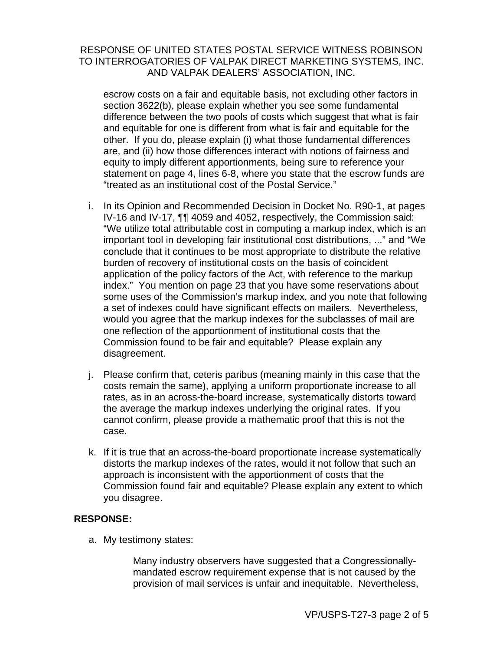escrow costs on a fair and equitable basis, not excluding other factors in section 3622(b), please explain whether you see some fundamental difference between the two pools of costs which suggest that what is fair and equitable for one is different from what is fair and equitable for the other. If you do, please explain (i) what those fundamental differences are, and (ii) how those differences interact with notions of fairness and equity to imply different apportionments, being sure to reference your statement on page 4, lines 6-8, where you state that the escrow funds are "treated as an institutional cost of the Postal Service."

- i. In its Opinion and Recommended Decision in Docket No. R90-1, at pages IV-16 and IV-17, ¶¶ 4059 and 4052, respectively, the Commission said: "We utilize total attributable cost in computing a markup index, which is an important tool in developing fair institutional cost distributions, ..." and "We conclude that it continues to be most appropriate to distribute the relative burden of recovery of institutional costs on the basis of coincident application of the policy factors of the Act, with reference to the markup index." You mention on page 23 that you have some reservations about some uses of the Commission's markup index, and you note that following a set of indexes could have significant effects on mailers. Nevertheless, would you agree that the markup indexes for the subclasses of mail are one reflection of the apportionment of institutional costs that the Commission found to be fair and equitable? Please explain any disagreement.
- j. Please confirm that, ceteris paribus (meaning mainly in this case that the costs remain the same), applying a uniform proportionate increase to all rates, as in an across-the-board increase, systematically distorts toward the average the markup indexes underlying the original rates. If you cannot confirm, please provide a mathematic proof that this is not the case.
- k. If it is true that an across-the-board proportionate increase systematically distorts the markup indexes of the rates, would it not follow that such an approach is inconsistent with the apportionment of costs that the Commission found fair and equitable? Please explain any extent to which you disagree.

### **RESPONSE:**

a. My testimony states:

Many industry observers have suggested that a Congressionallymandated escrow requirement expense that is not caused by the provision of mail services is unfair and inequitable. Nevertheless,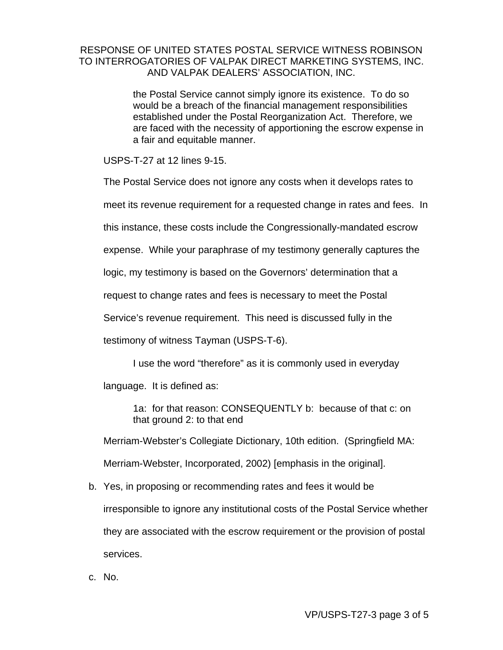the Postal Service cannot simply ignore its existence. To do so would be a breach of the financial management responsibilities established under the Postal Reorganization Act. Therefore, we are faced with the necessity of apportioning the escrow expense in a fair and equitable manner.

USPS-T-27 at 12 lines 9-15.

The Postal Service does not ignore any costs when it develops rates to

meet its revenue requirement for a requested change in rates and fees. In

this instance, these costs include the Congressionally-mandated escrow

expense. While your paraphrase of my testimony generally captures the

logic, my testimony is based on the Governors' determination that a

request to change rates and fees is necessary to meet the Postal

Service's revenue requirement. This need is discussed fully in the

testimony of witness Tayman (USPS-T-6).

I use the word "therefore" as it is commonly used in everyday language. It is defined as:

1a: for that reason: CONSEQUENTLY b: because of that c: on that ground 2: to that end

Merriam-Webster's Collegiate Dictionary, 10th edition. (Springfield MA:

Merriam-Webster, Incorporated, 2002) [emphasis in the original].

- b. Yes, in proposing or recommending rates and fees it would be irresponsible to ignore any institutional costs of the Postal Service whether they are associated with the escrow requirement or the provision of postal services.
- c. No.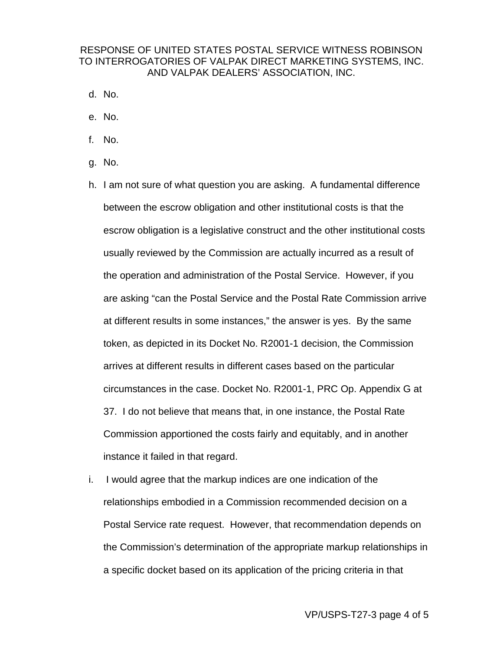- d. No.
- e. No.
- f. No.
- g. No.
- h. I am not sure of what question you are asking. A fundamental difference between the escrow obligation and other institutional costs is that the escrow obligation is a legislative construct and the other institutional costs usually reviewed by the Commission are actually incurred as a result of the operation and administration of the Postal Service. However, if you are asking "can the Postal Service and the Postal Rate Commission arrive at different results in some instances," the answer is yes. By the same token, as depicted in its Docket No. R2001-1 decision, the Commission arrives at different results in different cases based on the particular circumstances in the case. Docket No. R2001-1, PRC Op. Appendix G at 37. I do not believe that means that, in one instance, the Postal Rate Commission apportioned the costs fairly and equitably, and in another instance it failed in that regard.
- i. I would agree that the markup indices are one indication of the relationships embodied in a Commission recommended decision on a Postal Service rate request. However, that recommendation depends on the Commission's determination of the appropriate markup relationships in a specific docket based on its application of the pricing criteria in that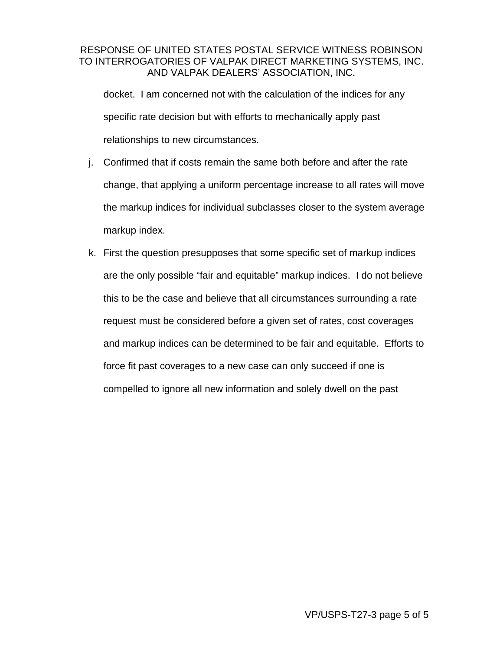docket. I am concerned not with the calculation of the indices for any specific rate decision but with efforts to mechanically apply past relationships to new circumstances.

- j. Confirmed that if costs remain the same both before and after the rate change, that applying a uniform percentage increase to all rates will move the markup indices for individual subclasses closer to the system average markup index.
- k. First the question presupposes that some specific set of markup indices are the only possible "fair and equitable" markup indices. I do not believe this to be the case and believe that all circumstances surrounding a rate request must be considered before a given set of rates, cost coverages and markup indices can be determined to be fair and equitable. Efforts to force fit past coverages to a new case can only succeed if one is compelled to ignore all new information and solely dwell on the past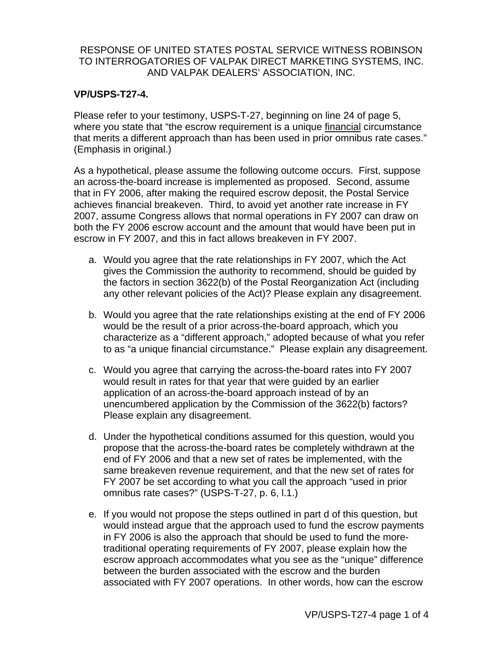### **VP/USPS-T27-4.**

Please refer to your testimony, USPS-T-27, beginning on line 24 of page 5, where you state that "the escrow requirement is a unique financial circumstance that merits a different approach than has been used in prior omnibus rate cases." (Emphasis in original.)

As a hypothetical, please assume the following outcome occurs. First, suppose an across-the-board increase is implemented as proposed. Second, assume that in FY 2006, after making the required escrow deposit, the Postal Service achieves financial breakeven. Third, to avoid yet another rate increase in FY 2007, assume Congress allows that normal operations in FY 2007 can draw on both the FY 2006 escrow account and the amount that would have been put in escrow in FY 2007, and this in fact allows breakeven in FY 2007.

- a. Would you agree that the rate relationships in FY 2007, which the Act gives the Commission the authority to recommend, should be guided by the factors in section 3622(b) of the Postal Reorganization Act (including any other relevant policies of the Act)? Please explain any disagreement.
- b. Would you agree that the rate relationships existing at the end of FY 2006 would be the result of a prior across-the-board approach, which you characterize as a "different approach," adopted because of what you refer to as "a unique financial circumstance." Please explain any disagreement.
- c. Would you agree that carrying the across-the-board rates into FY 2007 would result in rates for that year that were guided by an earlier application of an across-the-board approach instead of by an unencumbered application by the Commission of the 3622(b) factors? Please explain any disagreement.
- d. Under the hypothetical conditions assumed for this question, would you propose that the across-the-board rates be completely withdrawn at the end of FY 2006 and that a new set of rates be implemented, with the same breakeven revenue requirement, and that the new set of rates for FY 2007 be set according to what you call the approach "used in prior omnibus rate cases?" (USPS-T-27, p. 6, l.1.)
- e. If you would not propose the steps outlined in part d of this question, but would instead argue that the approach used to fund the escrow payments in FY 2006 is also the approach that should be used to fund the moretraditional operating requirements of FY 2007, please explain how the escrow approach accommodates what you see as the "unique" difference between the burden associated with the escrow and the burden associated with FY 2007 operations. In other words, how can the escrow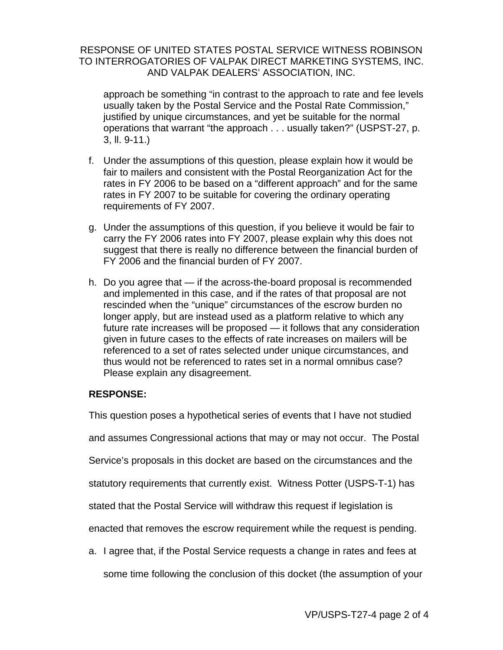approach be something "in contrast to the approach to rate and fee levels usually taken by the Postal Service and the Postal Rate Commission," justified by unique circumstances, and yet be suitable for the normal operations that warrant "the approach . . . usually taken?" (USPST-27, p. 3, ll. 9-11.)

- f. Under the assumptions of this question, please explain how it would be fair to mailers and consistent with the Postal Reorganization Act for the rates in FY 2006 to be based on a "different approach" and for the same rates in FY 2007 to be suitable for covering the ordinary operating requirements of FY 2007.
- g. Under the assumptions of this question, if you believe it would be fair to carry the FY 2006 rates into FY 2007, please explain why this does not suggest that there is really no difference between the financial burden of FY 2006 and the financial burden of FY 2007.
- h. Do you agree that if the across-the-board proposal is recommended and implemented in this case, and if the rates of that proposal are not rescinded when the "unique" circumstances of the escrow burden no longer apply, but are instead used as a platform relative to which any future rate increases will be proposed — it follows that any consideration given in future cases to the effects of rate increases on mailers will be referenced to a set of rates selected under unique circumstances, and thus would not be referenced to rates set in a normal omnibus case? Please explain any disagreement.

### **RESPONSE:**

This question poses a hypothetical series of events that I have not studied

and assumes Congressional actions that may or may not occur. The Postal

Service's proposals in this docket are based on the circumstances and the

statutory requirements that currently exist. Witness Potter (USPS-T-1) has

stated that the Postal Service will withdraw this request if legislation is

enacted that removes the escrow requirement while the request is pending.

a. I agree that, if the Postal Service requests a change in rates and fees at

some time following the conclusion of this docket (the assumption of your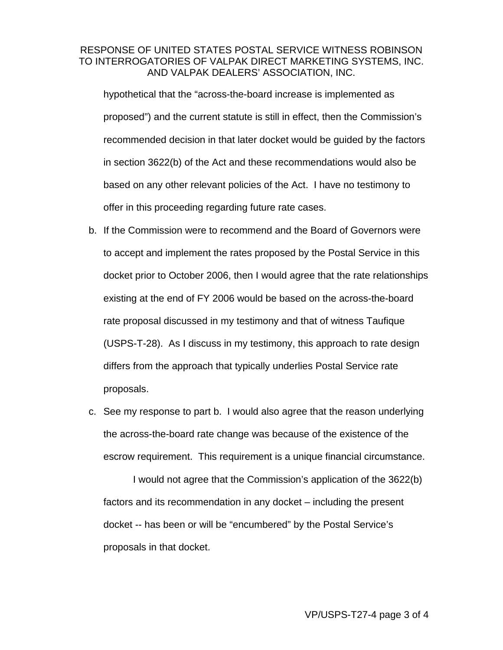hypothetical that the "across-the-board increase is implemented as proposed") and the current statute is still in effect, then the Commission's recommended decision in that later docket would be guided by the factors in section 3622(b) of the Act and these recommendations would also be based on any other relevant policies of the Act. I have no testimony to offer in this proceeding regarding future rate cases.

- b. If the Commission were to recommend and the Board of Governors were to accept and implement the rates proposed by the Postal Service in this docket prior to October 2006, then I would agree that the rate relationships existing at the end of FY 2006 would be based on the across-the-board rate proposal discussed in my testimony and that of witness Taufique (USPS-T-28). As I discuss in my testimony, this approach to rate design differs from the approach that typically underlies Postal Service rate proposals.
- c. See my response to part b. I would also agree that the reason underlying the across-the-board rate change was because of the existence of the escrow requirement. This requirement is a unique financial circumstance.

I would not agree that the Commission's application of the 3622(b) factors and its recommendation in any docket – including the present docket -- has been or will be "encumbered" by the Postal Service's proposals in that docket.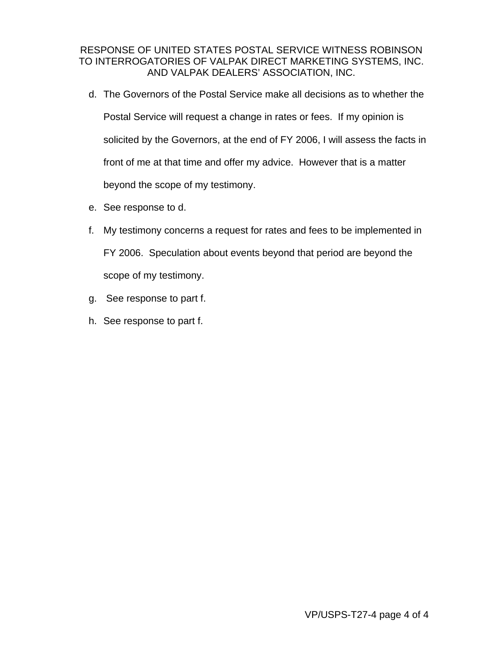- d. The Governors of the Postal Service make all decisions as to whether the Postal Service will request a change in rates or fees. If my opinion is solicited by the Governors, at the end of FY 2006, I will assess the facts in front of me at that time and offer my advice. However that is a matter beyond the scope of my testimony.
- e. See response to d.
- f. My testimony concerns a request for rates and fees to be implemented in FY 2006. Speculation about events beyond that period are beyond the scope of my testimony.
- g. See response to part f.
- h. See response to part f.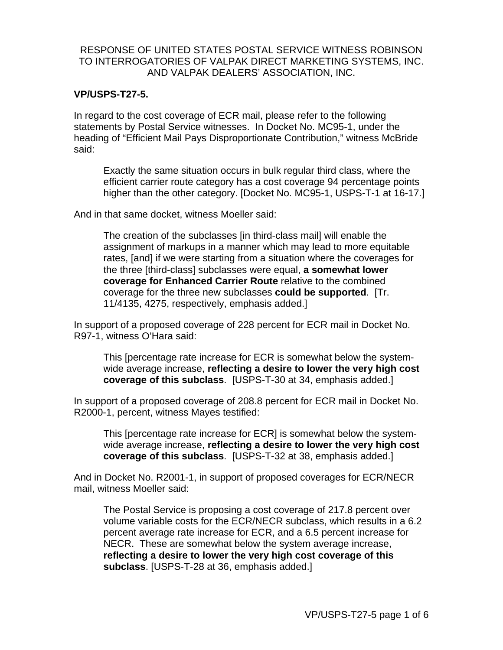#### **VP/USPS-T27-5.**

In regard to the cost coverage of ECR mail, please refer to the following statements by Postal Service witnesses. In Docket No. MC95-1, under the heading of "Efficient Mail Pays Disproportionate Contribution," witness McBride said:

Exactly the same situation occurs in bulk regular third class, where the efficient carrier route category has a cost coverage 94 percentage points higher than the other category. [Docket No. MC95-1, USPS-T-1 at 16-17.]

And in that same docket, witness Moeller said:

The creation of the subclasses [in third-class mail] will enable the assignment of markups in a manner which may lead to more equitable rates, [and] if we were starting from a situation where the coverages for the three [third-class] subclasses were equal, **a somewhat lower coverage for Enhanced Carrier Route** relative to the combined coverage for the three new subclasses **could be supported**. [Tr. 11/4135, 4275, respectively, emphasis added.]

In support of a proposed coverage of 228 percent for ECR mail in Docket No. R97-1, witness O'Hara said:

This [percentage rate increase for ECR is somewhat below the systemwide average increase, **reflecting a desire to lower the very high cost coverage of this subclass**. [USPS-T-30 at 34, emphasis added.]

In support of a proposed coverage of 208.8 percent for ECR mail in Docket No. R2000-1, percent, witness Mayes testified:

This [percentage rate increase for ECR] is somewhat below the systemwide average increase, **reflecting a desire to lower the very high cost coverage of this subclass**. [USPS-T-32 at 38, emphasis added.]

And in Docket No. R2001-1, in support of proposed coverages for ECR/NECR mail, witness Moeller said:

The Postal Service is proposing a cost coverage of 217.8 percent over volume variable costs for the ECR/NECR subclass, which results in a 6.2 percent average rate increase for ECR, and a 6.5 percent increase for NECR. These are somewhat below the system average increase, **reflecting a desire to lower the very high cost coverage of this subclass**. [USPS-T-28 at 36, emphasis added.]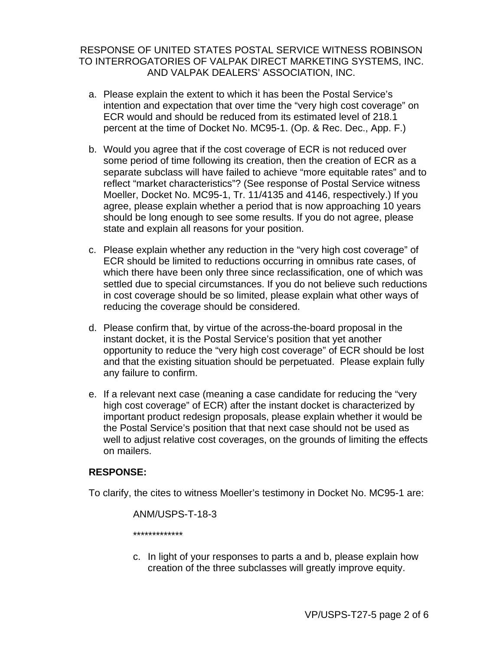- a. Please explain the extent to which it has been the Postal Service's intention and expectation that over time the "very high cost coverage" on ECR would and should be reduced from its estimated level of 218.1 percent at the time of Docket No. MC95-1. (Op. & Rec. Dec., App. F.)
- b. Would you agree that if the cost coverage of ECR is not reduced over some period of time following its creation, then the creation of ECR as a separate subclass will have failed to achieve "more equitable rates" and to reflect "market characteristics"? (See response of Postal Service witness Moeller, Docket No. MC95-1, Tr. 11/4135 and 4146, respectively.) If you agree, please explain whether a period that is now approaching 10 years should be long enough to see some results. If you do not agree, please state and explain all reasons for your position.
- c. Please explain whether any reduction in the "very high cost coverage" of ECR should be limited to reductions occurring in omnibus rate cases, of which there have been only three since reclassification, one of which was settled due to special circumstances. If you do not believe such reductions in cost coverage should be so limited, please explain what other ways of reducing the coverage should be considered.
- d. Please confirm that, by virtue of the across-the-board proposal in the instant docket, it is the Postal Service's position that yet another opportunity to reduce the "very high cost coverage" of ECR should be lost and that the existing situation should be perpetuated. Please explain fully any failure to confirm.
- e. If a relevant next case (meaning a case candidate for reducing the "very high cost coverage" of ECR) after the instant docket is characterized by important product redesign proposals, please explain whether it would be the Postal Service's position that that next case should not be used as well to adjust relative cost coverages, on the grounds of limiting the effects on mailers.

### **RESPONSE:**

To clarify, the cites to witness Moeller's testimony in Docket No. MC95-1 are:

ANM/USPS-T-18-3 \*\*\*\*\*\*\*\*\*\*\*\*\*

c. In light of your responses to parts a and b, please explain how creation of the three subclasses will greatly improve equity.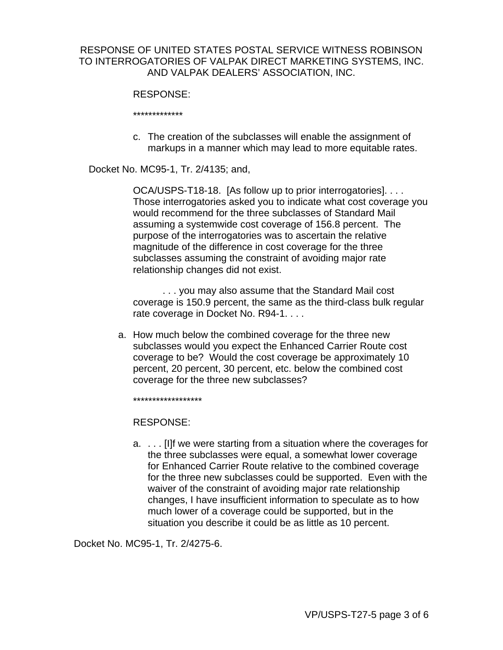#### RESPONSE:

\*\*\*\*\*\*\*\*\*\*\*\*\*

c. The creation of the subclasses will enable the assignment of markups in a manner which may lead to more equitable rates.

Docket No. MC95-1, Tr. 2/4135; and,

OCA/USPS-T18-18. [As follow up to prior interrogatories]. . . . Those interrogatories asked you to indicate what cost coverage you would recommend for the three subclasses of Standard Mail assuming a systemwide cost coverage of 156.8 percent. The purpose of the interrogatories was to ascertain the relative magnitude of the difference in cost coverage for the three subclasses assuming the constraint of avoiding major rate relationship changes did not exist.

. . . you may also assume that the Standard Mail cost coverage is 150.9 percent, the same as the third-class bulk regular rate coverage in Docket No. R94-1. . . .

a. How much below the combined coverage for the three new subclasses would you expect the Enhanced Carrier Route cost coverage to be? Would the cost coverage be approximately 10 percent, 20 percent, 30 percent, etc. below the combined cost coverage for the three new subclasses?

\*\*\*\*\*\*\*\*\*\*\*\*\*\*\*\*\*\*

RESPONSE:

a. . . . [I]f we were starting from a situation where the coverages for the three subclasses were equal, a somewhat lower coverage for Enhanced Carrier Route relative to the combined coverage for the three new subclasses could be supported. Even with the waiver of the constraint of avoiding major rate relationship changes, I have insufficient information to speculate as to how much lower of a coverage could be supported, but in the situation you describe it could be as little as 10 percent.

Docket No. MC95-1, Tr. 2/4275-6.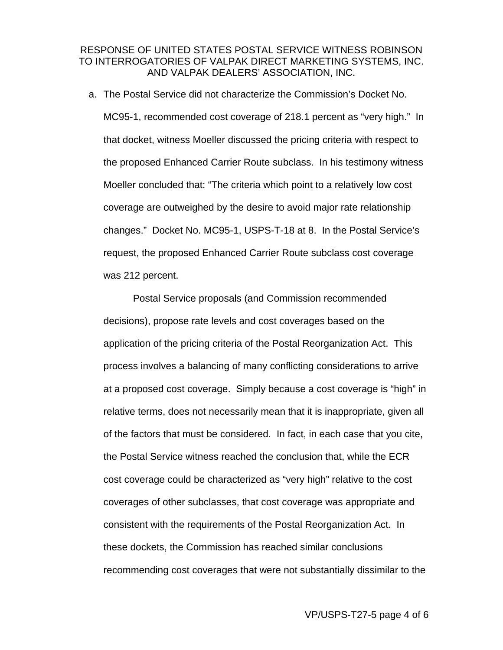a. The Postal Service did not characterize the Commission's Docket No. MC95-1, recommended cost coverage of 218.1 percent as "very high." In that docket, witness Moeller discussed the pricing criteria with respect to the proposed Enhanced Carrier Route subclass. In his testimony witness Moeller concluded that: "The criteria which point to a relatively low cost coverage are outweighed by the desire to avoid major rate relationship changes." Docket No. MC95-1, USPS-T-18 at 8. In the Postal Service's request, the proposed Enhanced Carrier Route subclass cost coverage was 212 percent.

Postal Service proposals (and Commission recommended decisions), propose rate levels and cost coverages based on the application of the pricing criteria of the Postal Reorganization Act. This process involves a balancing of many conflicting considerations to arrive at a proposed cost coverage. Simply because a cost coverage is "high" in relative terms, does not necessarily mean that it is inappropriate, given all of the factors that must be considered. In fact, in each case that you cite, the Postal Service witness reached the conclusion that, while the ECR cost coverage could be characterized as "very high" relative to the cost coverages of other subclasses, that cost coverage was appropriate and consistent with the requirements of the Postal Reorganization Act. In these dockets, the Commission has reached similar conclusions recommending cost coverages that were not substantially dissimilar to the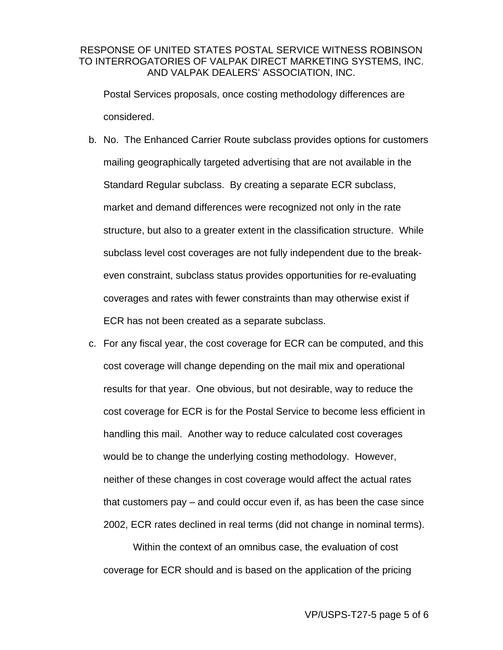Postal Services proposals, once costing methodology differences are considered.

- b. No. The Enhanced Carrier Route subclass provides options for customers mailing geographically targeted advertising that are not available in the Standard Regular subclass. By creating a separate ECR subclass, market and demand differences were recognized not only in the rate structure, but also to a greater extent in the classification structure. While subclass level cost coverages are not fully independent due to the breakeven constraint, subclass status provides opportunities for re-evaluating coverages and rates with fewer constraints than may otherwise exist if ECR has not been created as a separate subclass.
- c. For any fiscal year, the cost coverage for ECR can be computed, and this cost coverage will change depending on the mail mix and operational results for that year. One obvious, but not desirable, way to reduce the cost coverage for ECR is for the Postal Service to become less efficient in handling this mail. Another way to reduce calculated cost coverages would be to change the underlying costing methodology. However, neither of these changes in cost coverage would affect the actual rates that customers pay – and could occur even if, as has been the case since 2002, ECR rates declined in real terms (did not change in nominal terms).

Within the context of an omnibus case, the evaluation of cost coverage for ECR should and is based on the application of the pricing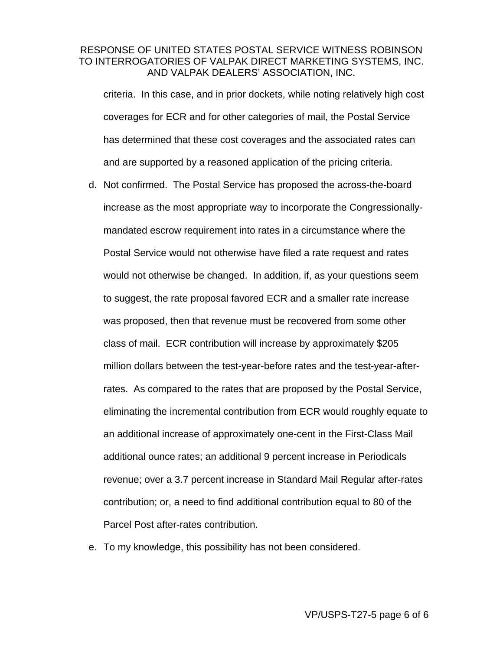criteria. In this case, and in prior dockets, while noting relatively high cost coverages for ECR and for other categories of mail, the Postal Service has determined that these cost coverages and the associated rates can and are supported by a reasoned application of the pricing criteria.

- d. Not confirmed. The Postal Service has proposed the across-the-board increase as the most appropriate way to incorporate the Congressionallymandated escrow requirement into rates in a circumstance where the Postal Service would not otherwise have filed a rate request and rates would not otherwise be changed. In addition, if, as your questions seem to suggest, the rate proposal favored ECR and a smaller rate increase was proposed, then that revenue must be recovered from some other class of mail. ECR contribution will increase by approximately \$205 million dollars between the test-year-before rates and the test-year-afterrates. As compared to the rates that are proposed by the Postal Service, eliminating the incremental contribution from ECR would roughly equate to an additional increase of approximately one-cent in the First-Class Mail additional ounce rates; an additional 9 percent increase in Periodicals revenue; over a 3.7 percent increase in Standard Mail Regular after-rates contribution; or, a need to find additional contribution equal to 80 of the Parcel Post after-rates contribution.
- e. To my knowledge, this possibility has not been considered.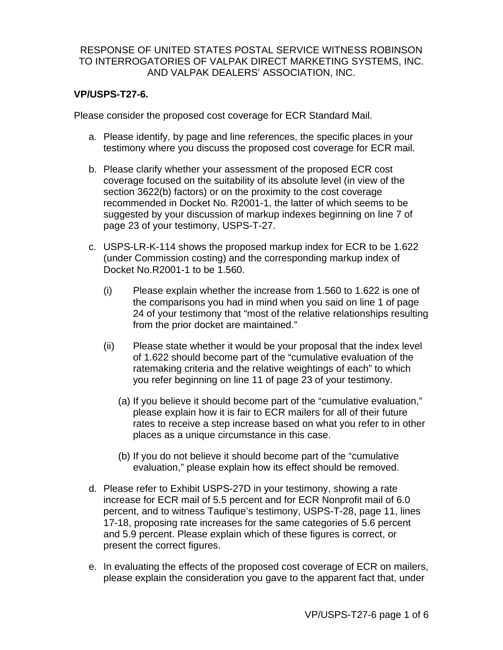### **VP/USPS-T27-6.**

Please consider the proposed cost coverage for ECR Standard Mail.

- a. Please identify, by page and line references, the specific places in your testimony where you discuss the proposed cost coverage for ECR mail.
- b. Please clarify whether your assessment of the proposed ECR cost coverage focused on the suitability of its absolute level (in view of the section 3622(b) factors) or on the proximity to the cost coverage recommended in Docket No. R2001-1, the latter of which seems to be suggested by your discussion of markup indexes beginning on line 7 of page 23 of your testimony, USPS-T-27.
- c. USPS-LR-K-114 shows the proposed markup index for ECR to be 1.622 (under Commission costing) and the corresponding markup index of Docket No.R2001-1 to be 1.560.
	- (i) Please explain whether the increase from 1.560 to 1.622 is one of the comparisons you had in mind when you said on line 1 of page 24 of your testimony that "most of the relative relationships resulting from the prior docket are maintained."
	- (ii) Please state whether it would be your proposal that the index level of 1.622 should become part of the "cumulative evaluation of the ratemaking criteria and the relative weightings of each" to which you refer beginning on line 11 of page 23 of your testimony.
		- (a) If you believe it should become part of the "cumulative evaluation," please explain how it is fair to ECR mailers for all of their future rates to receive a step increase based on what you refer to in other places as a unique circumstance in this case.
		- (b) If you do not believe it should become part of the "cumulative evaluation," please explain how its effect should be removed.
- d. Please refer to Exhibit USPS-27D in your testimony, showing a rate increase for ECR mail of 5.5 percent and for ECR Nonprofit mail of 6.0 percent, and to witness Taufique's testimony, USPS-T-28, page 11, lines 17-18, proposing rate increases for the same categories of 5.6 percent and 5.9 percent. Please explain which of these figures is correct, or present the correct figures.
- e. In evaluating the effects of the proposed cost coverage of ECR on mailers, please explain the consideration you gave to the apparent fact that, under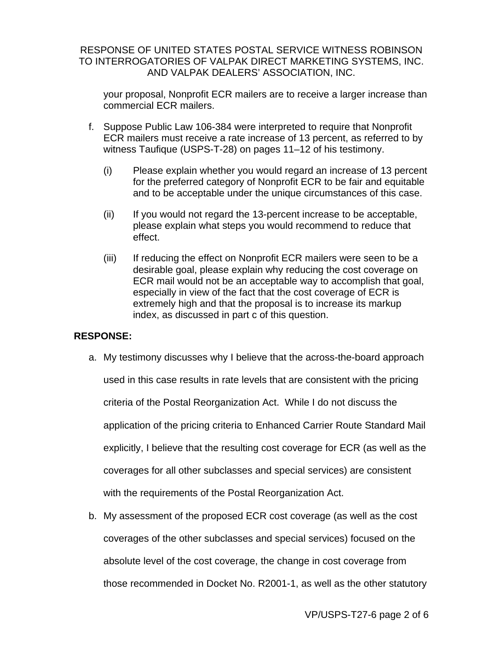your proposal, Nonprofit ECR mailers are to receive a larger increase than commercial ECR mailers.

- f. Suppose Public Law 106-384 were interpreted to require that Nonprofit ECR mailers must receive a rate increase of 13 percent, as referred to by witness Taufique (USPS-T-28) on pages 11–12 of his testimony.
	- (i) Please explain whether you would regard an increase of 13 percent for the preferred category of Nonprofit ECR to be fair and equitable and to be acceptable under the unique circumstances of this case.
	- (ii) If you would not regard the 13-percent increase to be acceptable, please explain what steps you would recommend to reduce that effect.
	- (iii) If reducing the effect on Nonprofit ECR mailers were seen to be a desirable goal, please explain why reducing the cost coverage on ECR mail would not be an acceptable way to accomplish that goal, especially in view of the fact that the cost coverage of ECR is extremely high and that the proposal is to increase its markup index, as discussed in part c of this question.

### **RESPONSE:**

- a. My testimony discusses why I believe that the across-the-board approach used in this case results in rate levels that are consistent with the pricing criteria of the Postal Reorganization Act. While I do not discuss the application of the pricing criteria to Enhanced Carrier Route Standard Mail explicitly, I believe that the resulting cost coverage for ECR (as well as the coverages for all other subclasses and special services) are consistent with the requirements of the Postal Reorganization Act.
- b. My assessment of the proposed ECR cost coverage (as well as the cost coverages of the other subclasses and special services) focused on the absolute level of the cost coverage, the change in cost coverage from those recommended in Docket No. R2001-1, as well as the other statutory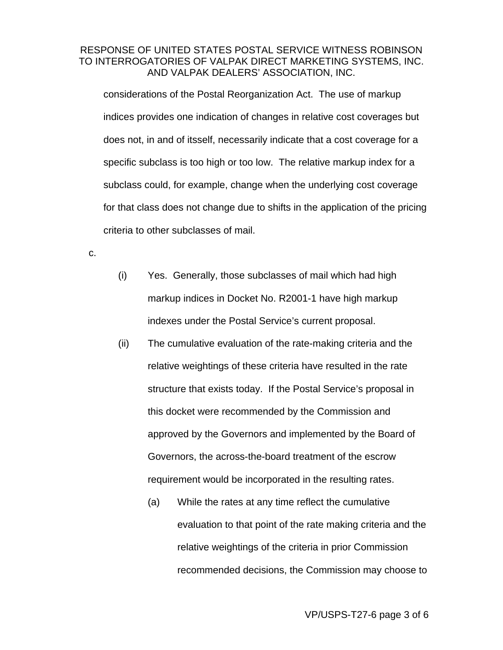considerations of the Postal Reorganization Act. The use of markup indices provides one indication of changes in relative cost coverages but does not, in and of itsself, necessarily indicate that a cost coverage for a specific subclass is too high or too low. The relative markup index for a subclass could, for example, change when the underlying cost coverage for that class does not change due to shifts in the application of the pricing criteria to other subclasses of mail.

c.

- (i) Yes. Generally, those subclasses of mail which had high markup indices in Docket No. R2001-1 have high markup indexes under the Postal Service's current proposal.
- (ii) The cumulative evaluation of the rate-making criteria and the relative weightings of these criteria have resulted in the rate structure that exists today. If the Postal Service's proposal in this docket were recommended by the Commission and approved by the Governors and implemented by the Board of Governors, the across-the-board treatment of the escrow requirement would be incorporated in the resulting rates.
	- (a) While the rates at any time reflect the cumulative evaluation to that point of the rate making criteria and the relative weightings of the criteria in prior Commission recommended decisions, the Commission may choose to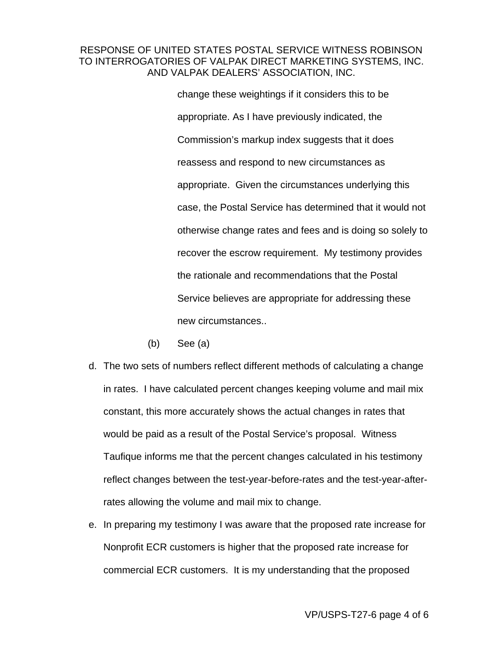change these weightings if it considers this to be appropriate. As I have previously indicated, the Commission's markup index suggests that it does reassess and respond to new circumstances as appropriate. Given the circumstances underlying this case, the Postal Service has determined that it would not otherwise change rates and fees and is doing so solely to recover the escrow requirement. My testimony provides the rationale and recommendations that the Postal Service believes are appropriate for addressing these new circumstances..

- (b) See (a)
- d. The two sets of numbers reflect different methods of calculating a change in rates. I have calculated percent changes keeping volume and mail mix constant, this more accurately shows the actual changes in rates that would be paid as a result of the Postal Service's proposal. Witness Taufique informs me that the percent changes calculated in his testimony reflect changes between the test-year-before-rates and the test-year-afterrates allowing the volume and mail mix to change.
- e. In preparing my testimony I was aware that the proposed rate increase for Nonprofit ECR customers is higher that the proposed rate increase for commercial ECR customers. It is my understanding that the proposed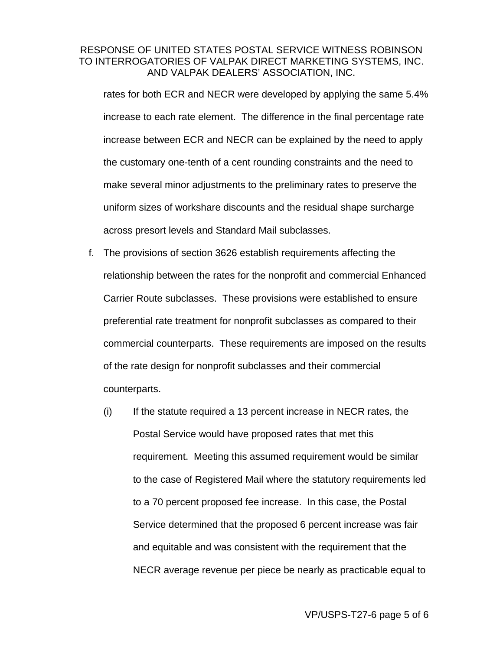rates for both ECR and NECR were developed by applying the same 5.4% increase to each rate element. The difference in the final percentage rate increase between ECR and NECR can be explained by the need to apply the customary one-tenth of a cent rounding constraints and the need to make several minor adjustments to the preliminary rates to preserve the uniform sizes of workshare discounts and the residual shape surcharge across presort levels and Standard Mail subclasses.

- f. The provisions of section 3626 establish requirements affecting the relationship between the rates for the nonprofit and commercial Enhanced Carrier Route subclasses. These provisions were established to ensure preferential rate treatment for nonprofit subclasses as compared to their commercial counterparts. These requirements are imposed on the results of the rate design for nonprofit subclasses and their commercial counterparts.
	- $(i)$  If the statute required a 13 percent increase in NECR rates, the Postal Service would have proposed rates that met this requirement. Meeting this assumed requirement would be similar to the case of Registered Mail where the statutory requirements led to a 70 percent proposed fee increase. In this case, the Postal Service determined that the proposed 6 percent increase was fair and equitable and was consistent with the requirement that the NECR average revenue per piece be nearly as practicable equal to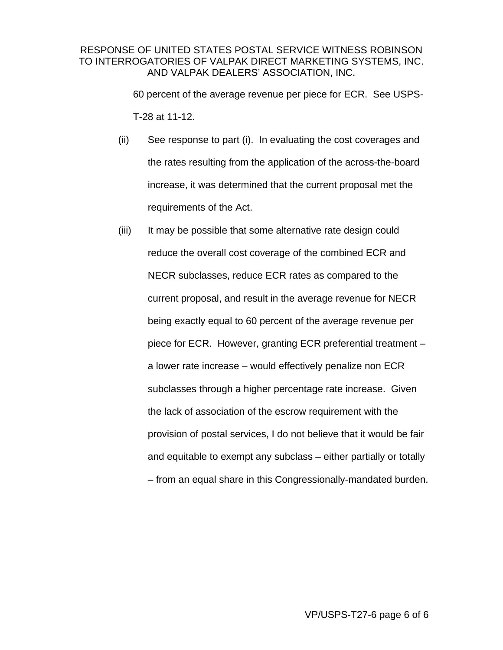60 percent of the average revenue per piece for ECR. See USPS-T-28 at 11-12.

- (ii) See response to part (i). In evaluating the cost coverages and the rates resulting from the application of the across-the-board increase, it was determined that the current proposal met the requirements of the Act.
- (iii) It may be possible that some alternative rate design could reduce the overall cost coverage of the combined ECR and NECR subclasses, reduce ECR rates as compared to the current proposal, and result in the average revenue for NECR being exactly equal to 60 percent of the average revenue per piece for ECR. However, granting ECR preferential treatment – a lower rate increase – would effectively penalize non ECR subclasses through a higher percentage rate increase. Given the lack of association of the escrow requirement with the provision of postal services, I do not believe that it would be fair and equitable to exempt any subclass – either partially or totally – from an equal share in this Congressionally-mandated burden.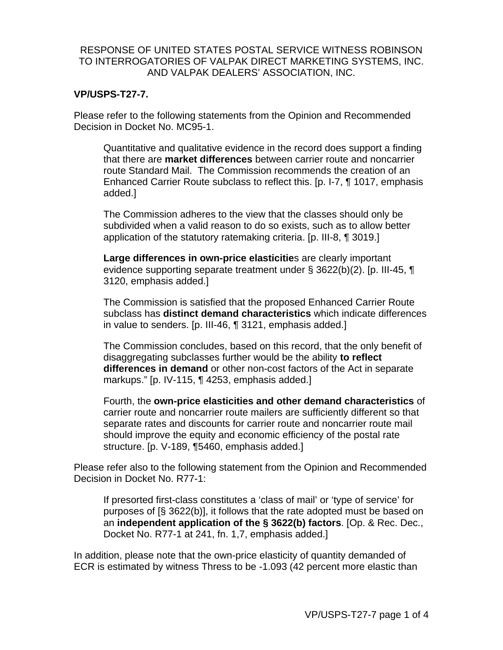### **VP/USPS-T27-7.**

Please refer to the following statements from the Opinion and Recommended Decision in Docket No. MC95-1.

Quantitative and qualitative evidence in the record does support a finding that there are **market differences** between carrier route and noncarrier route Standard Mail. The Commission recommends the creation of an Enhanced Carrier Route subclass to reflect this. [p. I-7, ¶ 1017, emphasis added.]

The Commission adheres to the view that the classes should only be subdivided when a valid reason to do so exists, such as to allow better application of the statutory ratemaking criteria. [p. III-8, ¶ 3019.]

**Large differences in own-price elasticitie**s are clearly important evidence supporting separate treatment under § 3622(b)(2). [p. III-45, ¶ 3120, emphasis added.]

The Commission is satisfied that the proposed Enhanced Carrier Route subclass has **distinct demand characteristics** which indicate differences in value to senders. [p. III-46, ¶ 3121, emphasis added.]

The Commission concludes, based on this record, that the only benefit of disaggregating subclasses further would be the ability **to reflect differences in demand** or other non-cost factors of the Act in separate markups." [p. IV-115, ¶ 4253, emphasis added.]

Fourth, the **own-price elasticities and other demand characteristics** of carrier route and noncarrier route mailers are sufficiently different so that separate rates and discounts for carrier route and noncarrier route mail should improve the equity and economic efficiency of the postal rate structure. [p. V-189, ¶5460, emphasis added.]

Please refer also to the following statement from the Opinion and Recommended Decision in Docket No. R77-1:

If presorted first-class constitutes a 'class of mail' or 'type of service' for purposes of [§ 3622(b)], it follows that the rate adopted must be based on an **independent application of the § 3622(b) factors**. [Op. & Rec. Dec., Docket No. R77-1 at 241, fn. 1,7, emphasis added.]

In addition, please note that the own-price elasticity of quantity demanded of ECR is estimated by witness Thress to be -1.093 (42 percent more elastic than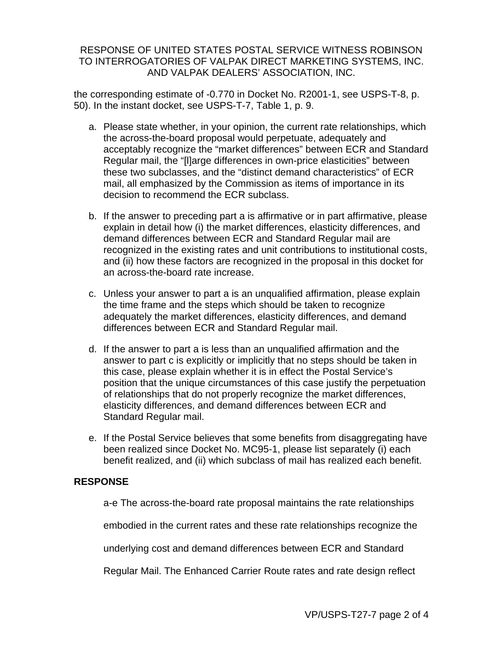the corresponding estimate of -0.770 in Docket No. R2001-1, see USPS-T-8, p. 50). In the instant docket, see USPS-T-7, Table 1, p. 9.

- a. Please state whether, in your opinion, the current rate relationships, which the across-the-board proposal would perpetuate, adequately and acceptably recognize the "market differences" between ECR and Standard Regular mail, the "[l]arge differences in own-price elasticities" between these two subclasses, and the "distinct demand characteristics" of ECR mail, all emphasized by the Commission as items of importance in its decision to recommend the ECR subclass.
- b. If the answer to preceding part a is affirmative or in part affirmative, please explain in detail how (i) the market differences, elasticity differences, and demand differences between ECR and Standard Regular mail are recognized in the existing rates and unit contributions to institutional costs, and (ii) how these factors are recognized in the proposal in this docket for an across-the-board rate increase.
- c. Unless your answer to part a is an unqualified affirmation, please explain the time frame and the steps which should be taken to recognize adequately the market differences, elasticity differences, and demand differences between ECR and Standard Regular mail.
- d. If the answer to part a is less than an unqualified affirmation and the answer to part c is explicitly or implicitly that no steps should be taken in this case, please explain whether it is in effect the Postal Service's position that the unique circumstances of this case justify the perpetuation of relationships that do not properly recognize the market differences, elasticity differences, and demand differences between ECR and Standard Regular mail.
- e. If the Postal Service believes that some benefits from disaggregating have been realized since Docket No. MC95-1, please list separately (i) each benefit realized, and (ii) which subclass of mail has realized each benefit.

### **RESPONSE**

a-e The across-the-board rate proposal maintains the rate relationships

embodied in the current rates and these rate relationships recognize the

underlying cost and demand differences between ECR and Standard

Regular Mail. The Enhanced Carrier Route rates and rate design reflect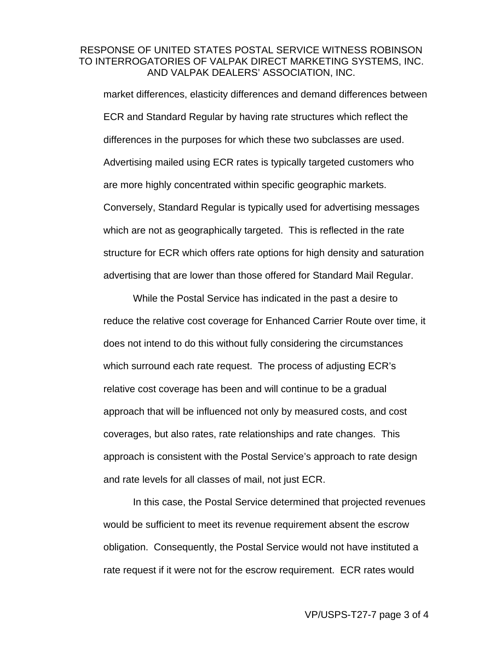market differences, elasticity differences and demand differences between ECR and Standard Regular by having rate structures which reflect the differences in the purposes for which these two subclasses are used. Advertising mailed using ECR rates is typically targeted customers who are more highly concentrated within specific geographic markets. Conversely, Standard Regular is typically used for advertising messages which are not as geographically targeted. This is reflected in the rate structure for ECR which offers rate options for high density and saturation advertising that are lower than those offered for Standard Mail Regular.

While the Postal Service has indicated in the past a desire to reduce the relative cost coverage for Enhanced Carrier Route over time, it does not intend to do this without fully considering the circumstances which surround each rate request. The process of adjusting ECR's relative cost coverage has been and will continue to be a gradual approach that will be influenced not only by measured costs, and cost coverages, but also rates, rate relationships and rate changes. This approach is consistent with the Postal Service's approach to rate design and rate levels for all classes of mail, not just ECR.

In this case, the Postal Service determined that projected revenues would be sufficient to meet its revenue requirement absent the escrow obligation. Consequently, the Postal Service would not have instituted a rate request if it were not for the escrow requirement. ECR rates would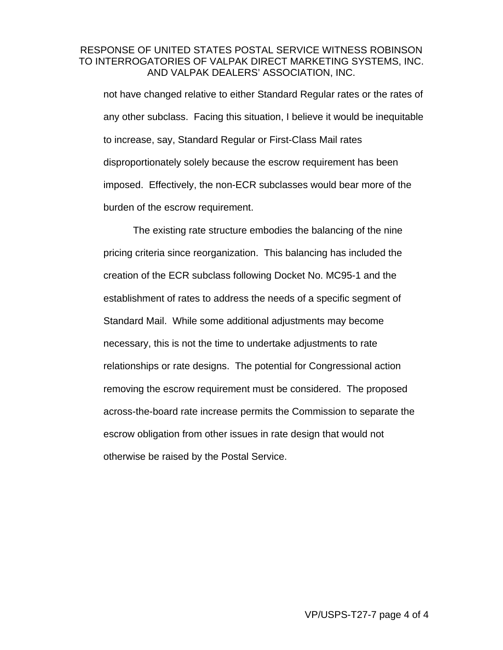not have changed relative to either Standard Regular rates or the rates of any other subclass. Facing this situation, I believe it would be inequitable to increase, say, Standard Regular or First-Class Mail rates disproportionately solely because the escrow requirement has been imposed. Effectively, the non-ECR subclasses would bear more of the burden of the escrow requirement.

The existing rate structure embodies the balancing of the nine pricing criteria since reorganization. This balancing has included the creation of the ECR subclass following Docket No. MC95-1 and the establishment of rates to address the needs of a specific segment of Standard Mail. While some additional adjustments may become necessary, this is not the time to undertake adjustments to rate relationships or rate designs. The potential for Congressional action removing the escrow requirement must be considered. The proposed across-the-board rate increase permits the Commission to separate the escrow obligation from other issues in rate design that would not otherwise be raised by the Postal Service.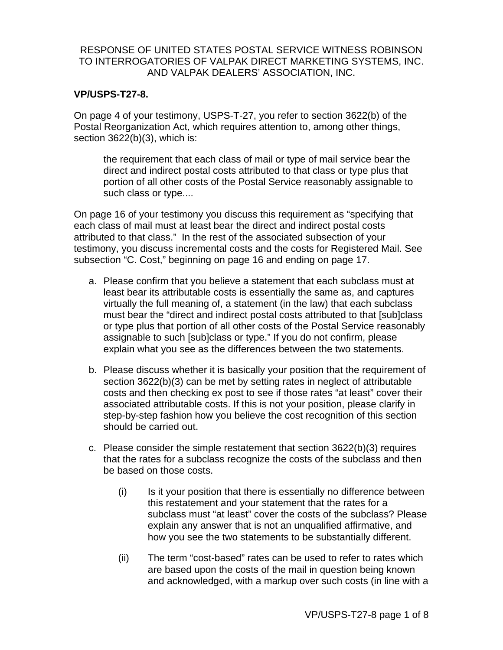### **VP/USPS-T27-8.**

On page 4 of your testimony, USPS-T-27, you refer to section 3622(b) of the Postal Reorganization Act, which requires attention to, among other things, section 3622(b)(3), which is:

the requirement that each class of mail or type of mail service bear the direct and indirect postal costs attributed to that class or type plus that portion of all other costs of the Postal Service reasonably assignable to such class or type....

On page 16 of your testimony you discuss this requirement as "specifying that each class of mail must at least bear the direct and indirect postal costs attributed to that class." In the rest of the associated subsection of your testimony, you discuss incremental costs and the costs for Registered Mail. See subsection "C. Cost," beginning on page 16 and ending on page 17.

- a. Please confirm that you believe a statement that each subclass must at least bear its attributable costs is essentially the same as, and captures virtually the full meaning of, a statement (in the law) that each subclass must bear the "direct and indirect postal costs attributed to that [sub]class or type plus that portion of all other costs of the Postal Service reasonably assignable to such [sub]class or type." If you do not confirm, please explain what you see as the differences between the two statements.
- b. Please discuss whether it is basically your position that the requirement of section 3622(b)(3) can be met by setting rates in neglect of attributable costs and then checking ex post to see if those rates "at least" cover their associated attributable costs. If this is not your position, please clarify in step-by-step fashion how you believe the cost recognition of this section should be carried out.
- c. Please consider the simple restatement that section 3622(b)(3) requires that the rates for a subclass recognize the costs of the subclass and then be based on those costs.
	- (i) Is it your position that there is essentially no difference between this restatement and your statement that the rates for a subclass must "at least" cover the costs of the subclass? Please explain any answer that is not an unqualified affirmative, and how you see the two statements to be substantially different.
	- (ii) The term "cost-based" rates can be used to refer to rates which are based upon the costs of the mail in question being known and acknowledged, with a markup over such costs (in line with a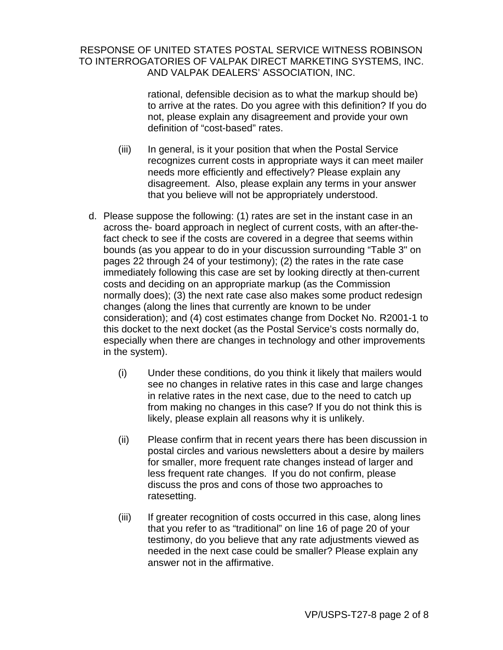rational, defensible decision as to what the markup should be) to arrive at the rates. Do you agree with this definition? If you do not, please explain any disagreement and provide your own definition of "cost-based" rates.

- (iii) In general, is it your position that when the Postal Service recognizes current costs in appropriate ways it can meet mailer needs more efficiently and effectively? Please explain any disagreement. Also, please explain any terms in your answer that you believe will not be appropriately understood.
- d. Please suppose the following: (1) rates are set in the instant case in an across the- board approach in neglect of current costs, with an after-thefact check to see if the costs are covered in a degree that seems within bounds (as you appear to do in your discussion surrounding "Table 3" on pages 22 through 24 of your testimony); (2) the rates in the rate case immediately following this case are set by looking directly at then-current costs and deciding on an appropriate markup (as the Commission normally does); (3) the next rate case also makes some product redesign changes (along the lines that currently are known to be under consideration); and (4) cost estimates change from Docket No. R2001-1 to this docket to the next docket (as the Postal Service's costs normally do, especially when there are changes in technology and other improvements in the system).
	- (i) Under these conditions, do you think it likely that mailers would see no changes in relative rates in this case and large changes in relative rates in the next case, due to the need to catch up from making no changes in this case? If you do not think this is likely, please explain all reasons why it is unlikely.
	- (ii) Please confirm that in recent years there has been discussion in postal circles and various newsletters about a desire by mailers for smaller, more frequent rate changes instead of larger and less frequent rate changes. If you do not confirm, please discuss the pros and cons of those two approaches to ratesetting.
	- (iii) If greater recognition of costs occurred in this case, along lines that you refer to as "traditional" on line 16 of page 20 of your testimony, do you believe that any rate adjustments viewed as needed in the next case could be smaller? Please explain any answer not in the affirmative.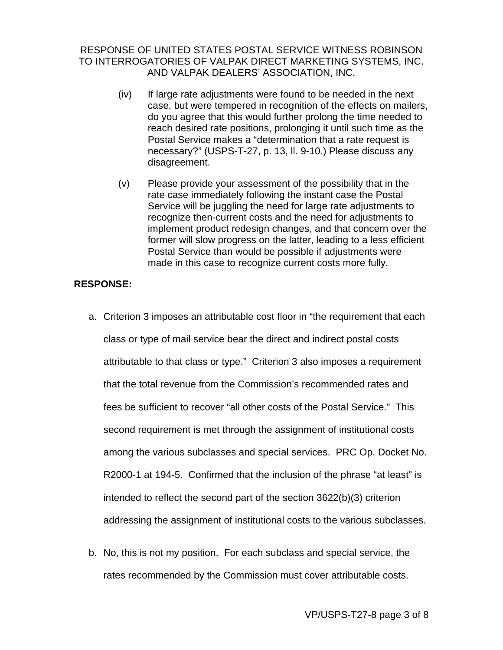- (iv) If large rate adjustments were found to be needed in the next case, but were tempered in recognition of the effects on mailers, do you agree that this would further prolong the time needed to reach desired rate positions, prolonging it until such time as the Postal Service makes a "determination that a rate request is necessary?" (USPS-T-27, p. 13, ll. 9-10.) Please discuss any disagreement.
- (v) Please provide your assessment of the possibility that in the rate case immediately following the instant case the Postal Service will be juggling the need for large rate adjustments to recognize then-current costs and the need for adjustments to implement product redesign changes, and that concern over the former will slow progress on the latter, leading to a less efficient Postal Service than would be possible if adjustments were made in this case to recognize current costs more fully.

### **RESPONSE:**

- a. Criterion 3 imposes an attributable cost floor in "the requirement that each class or type of mail service bear the direct and indirect postal costs attributable to that class or type." Criterion 3 also imposes a requirement that the total revenue from the Commission's recommended rates and fees be sufficient to recover "all other costs of the Postal Service." This second requirement is met through the assignment of institutional costs among the various subclasses and special services. PRC Op. Docket No. R2000-1 at 194-5. Confirmed that the inclusion of the phrase "at least" is intended to reflect the second part of the section 3622(b)(3) criterion addressing the assignment of institutional costs to the various subclasses.
- b. No, this is not my position. For each subclass and special service, the rates recommended by the Commission must cover attributable costs.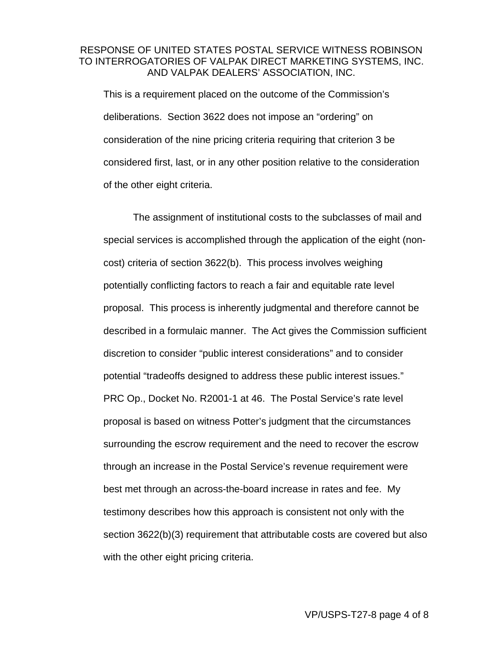This is a requirement placed on the outcome of the Commission's deliberations. Section 3622 does not impose an "ordering" on consideration of the nine pricing criteria requiring that criterion 3 be considered first, last, or in any other position relative to the consideration of the other eight criteria.

The assignment of institutional costs to the subclasses of mail and special services is accomplished through the application of the eight (noncost) criteria of section 3622(b). This process involves weighing potentially conflicting factors to reach a fair and equitable rate level proposal. This process is inherently judgmental and therefore cannot be described in a formulaic manner. The Act gives the Commission sufficient discretion to consider "public interest considerations" and to consider potential "tradeoffs designed to address these public interest issues." PRC Op., Docket No. R2001-1 at 46. The Postal Service's rate level proposal is based on witness Potter's judgment that the circumstances surrounding the escrow requirement and the need to recover the escrow through an increase in the Postal Service's revenue requirement were best met through an across-the-board increase in rates and fee. My testimony describes how this approach is consistent not only with the section 3622(b)(3) requirement that attributable costs are covered but also with the other eight pricing criteria.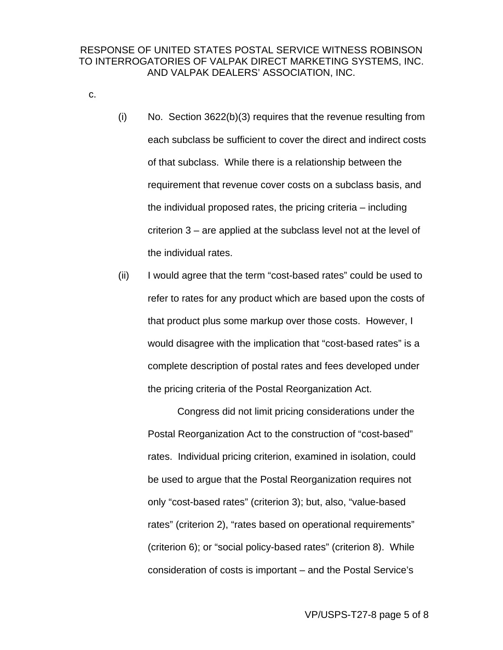- c.
- (i) No. Section 3622(b)(3) requires that the revenue resulting from each subclass be sufficient to cover the direct and indirect costs of that subclass. While there is a relationship between the requirement that revenue cover costs on a subclass basis, and the individual proposed rates, the pricing criteria – including criterion 3 – are applied at the subclass level not at the level of the individual rates.
- (ii) I would agree that the term "cost-based rates" could be used to refer to rates for any product which are based upon the costs of that product plus some markup over those costs. However, I would disagree with the implication that "cost-based rates" is a complete description of postal rates and fees developed under the pricing criteria of the Postal Reorganization Act.

Congress did not limit pricing considerations under the Postal Reorganization Act to the construction of "cost-based" rates. Individual pricing criterion, examined in isolation, could be used to argue that the Postal Reorganization requires not only "cost-based rates" (criterion 3); but, also, "value-based rates" (criterion 2), "rates based on operational requirements" (criterion 6); or "social policy-based rates" (criterion 8). While consideration of costs is important – and the Postal Service's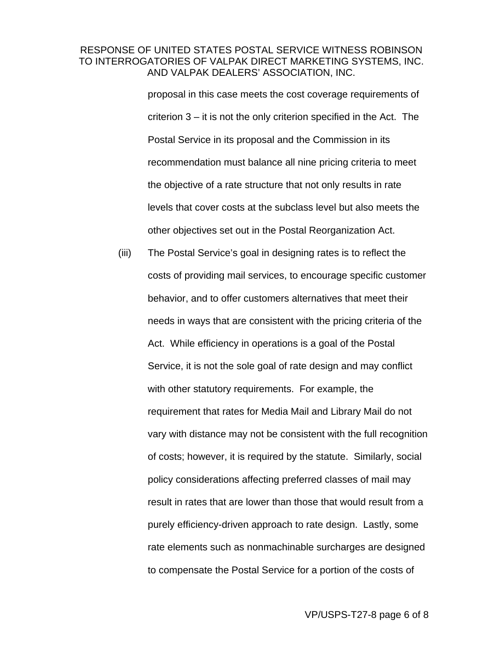proposal in this case meets the cost coverage requirements of criterion 3 – it is not the only criterion specified in the Act. The Postal Service in its proposal and the Commission in its recommendation must balance all nine pricing criteria to meet the objective of a rate structure that not only results in rate levels that cover costs at the subclass level but also meets the other objectives set out in the Postal Reorganization Act.

(iii) The Postal Service's goal in designing rates is to reflect the costs of providing mail services, to encourage specific customer behavior, and to offer customers alternatives that meet their needs in ways that are consistent with the pricing criteria of the Act. While efficiency in operations is a goal of the Postal Service, it is not the sole goal of rate design and may conflict with other statutory requirements. For example, the requirement that rates for Media Mail and Library Mail do not vary with distance may not be consistent with the full recognition of costs; however, it is required by the statute. Similarly, social policy considerations affecting preferred classes of mail may result in rates that are lower than those that would result from a purely efficiency-driven approach to rate design. Lastly, some rate elements such as nonmachinable surcharges are designed to compensate the Postal Service for a portion of the costs of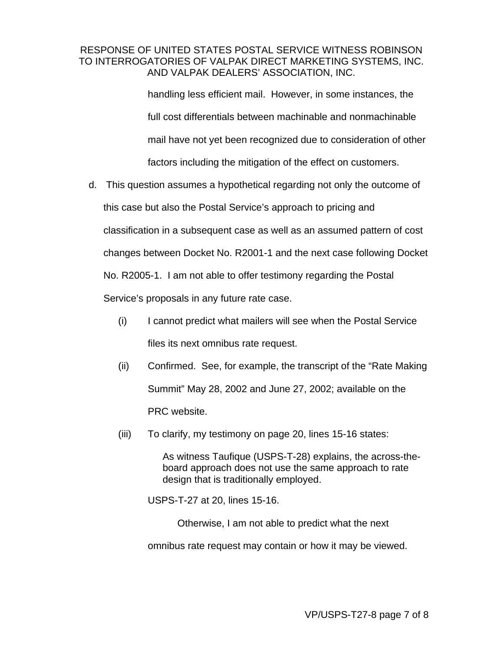handling less efficient mail. However, in some instances, the full cost differentials between machinable and nonmachinable mail have not yet been recognized due to consideration of other factors including the mitigation of the effect on customers.

- d. This question assumes a hypothetical regarding not only the outcome of this case but also the Postal Service's approach to pricing and classification in a subsequent case as well as an assumed pattern of cost changes between Docket No. R2001-1 and the next case following Docket No. R2005-1. I am not able to offer testimony regarding the Postal Service's proposals in any future rate case.
	- (i) I cannot predict what mailers will see when the Postal Service files its next omnibus rate request.
	- (ii) Confirmed. See, for example, the transcript of the "Rate Making Summit" May 28, 2002 and June 27, 2002; available on the PRC website.
	- (iii) To clarify, my testimony on page 20, lines 15-16 states:

As witness Taufique (USPS-T-28) explains, the across-theboard approach does not use the same approach to rate design that is traditionally employed.

USPS-T-27 at 20, lines 15-16.

Otherwise, I am not able to predict what the next omnibus rate request may contain or how it may be viewed.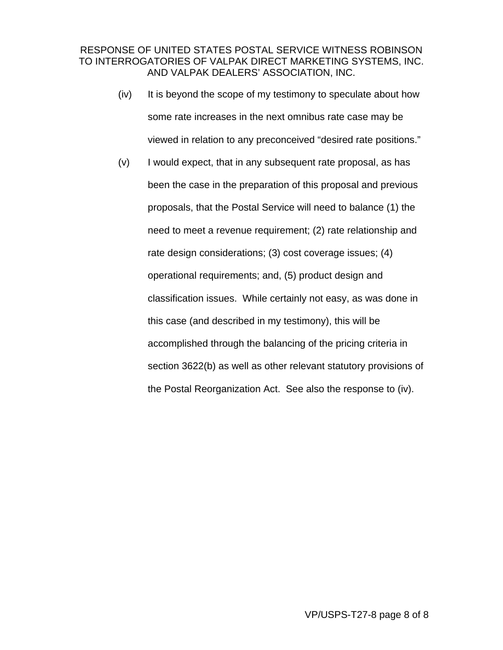- (iv) It is beyond the scope of my testimony to speculate about how some rate increases in the next omnibus rate case may be viewed in relation to any preconceived "desired rate positions."
- (v) I would expect, that in any subsequent rate proposal, as has been the case in the preparation of this proposal and previous proposals, that the Postal Service will need to balance (1) the need to meet a revenue requirement; (2) rate relationship and rate design considerations; (3) cost coverage issues; (4) operational requirements; and, (5) product design and classification issues. While certainly not easy, as was done in this case (and described in my testimony), this will be accomplished through the balancing of the pricing criteria in section 3622(b) as well as other relevant statutory provisions of the Postal Reorganization Act. See also the response to (iv).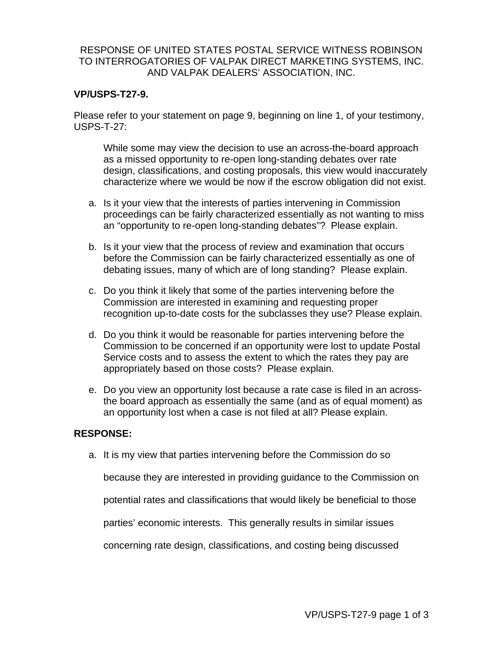### **VP/USPS-T27-9.**

Please refer to your statement on page 9, beginning on line 1, of your testimony, USPS-T-27:

While some may view the decision to use an across-the-board approach as a missed opportunity to re-open long-standing debates over rate design, classifications, and costing proposals, this view would inaccurately characterize where we would be now if the escrow obligation did not exist.

- a. Is it your view that the interests of parties intervening in Commission proceedings can be fairly characterized essentially as not wanting to miss an "opportunity to re-open long-standing debates"? Please explain.
- b. Is it your view that the process of review and examination that occurs before the Commission can be fairly characterized essentially as one of debating issues, many of which are of long standing? Please explain.
- c. Do you think it likely that some of the parties intervening before the Commission are interested in examining and requesting proper recognition up-to-date costs for the subclasses they use? Please explain.
- d. Do you think it would be reasonable for parties intervening before the Commission to be concerned if an opportunity were lost to update Postal Service costs and to assess the extent to which the rates they pay are appropriately based on those costs? Please explain.
- e. Do you view an opportunity lost because a rate case is filed in an acrossthe board approach as essentially the same (and as of equal moment) as an opportunity lost when a case is not filed at all? Please explain.

### **RESPONSE:**

a. It is my view that parties intervening before the Commission do so

because they are interested in providing guidance to the Commission on

potential rates and classifications that would likely be beneficial to those

parties' economic interests. This generally results in similar issues

concerning rate design, classifications, and costing being discussed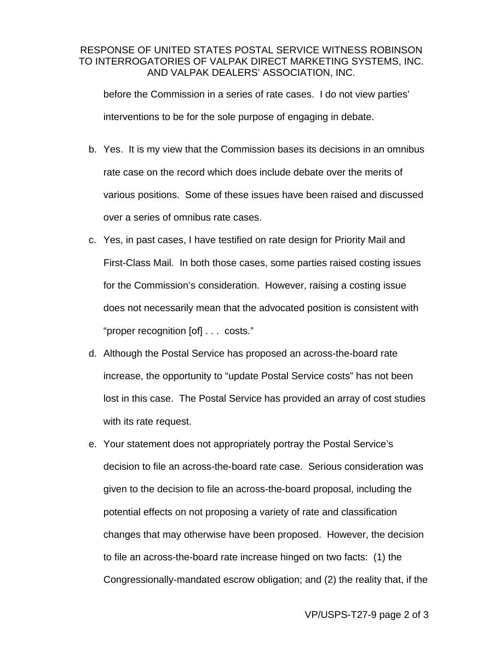before the Commission in a series of rate cases. I do not view parties' interventions to be for the sole purpose of engaging in debate.

- b. Yes. It is my view that the Commission bases its decisions in an omnibus rate case on the record which does include debate over the merits of various positions. Some of these issues have been raised and discussed over a series of omnibus rate cases.
- c. Yes, in past cases, I have testified on rate design for Priority Mail and First-Class Mail. In both those cases, some parties raised costing issues for the Commission's consideration. However, raising a costing issue does not necessarily mean that the advocated position is consistent with "proper recognition [of] . . . costs."
- d. Although the Postal Service has proposed an across-the-board rate increase, the opportunity to "update Postal Service costs" has not been lost in this case. The Postal Service has provided an array of cost studies with its rate request.
- e. Your statement does not appropriately portray the Postal Service's decision to file an across-the-board rate case. Serious consideration was given to the decision to file an across-the-board proposal, including the potential effects on not proposing a variety of rate and classification changes that may otherwise have been proposed. However, the decision to file an across-the-board rate increase hinged on two facts: (1) the Congressionally-mandated escrow obligation; and (2) the reality that, if the